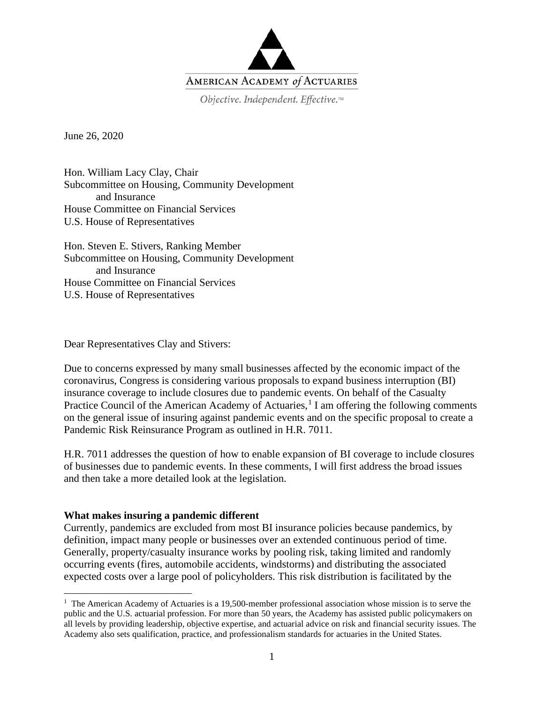

Objective. Independent. Effective.™

June 26, 2020

Hon. William Lacy Clay, Chair Subcommittee on Housing, Community Development and Insurance House Committee on Financial Services U.S. House of Representatives

Hon. Steven E. Stivers, Ranking Member Subcommittee on Housing, Community Development and Insurance House Committee on Financial Services U.S. House of Representatives

Dear Representatives Clay and Stivers:

Due to concerns expressed by many small businesses affected by the economic impact of the coronavirus, Congress is considering various proposals to expand business interruption (BI) insurance coverage to include closures due to pandemic events. On behalf of the Casualty Practice Council of the American Academy of Actuaries,<sup>[1](#page-0-0)</sup> I am offering the following comments on the general issue of insuring against pandemic events and on the specific proposal to create a Pandemic Risk Reinsurance Program as outlined in H.R. 7011.

H.R. 7011 addresses the question of how to enable expansion of BI coverage to include closures of businesses due to pandemic events. In these comments, I will first address the broad issues and then take a more detailed look at the legislation.

### **What makes insuring a pandemic different**

Currently, pandemics are excluded from most BI insurance policies because pandemics, by definition, impact many people or businesses over an extended continuous period of time. Generally, property/casualty insurance works by pooling risk, taking limited and randomly occurring events (fires, automobile accidents, windstorms) and distributing the associated expected costs over a large pool of policyholders. This risk distribution is facilitated by the

<span id="page-0-0"></span><sup>&</sup>lt;sup>1</sup> The American Academy of Actuaries is a 19,500-member professional association whose mission is to serve the public and the U.S. actuarial profession. For more than 50 years, the Academy has assisted public policymakers on all levels by providing leadership, objective expertise, and actuarial advice on risk and financial security issues. The Academy also sets qualification, practice, and professionalism standards for actuaries in the United States.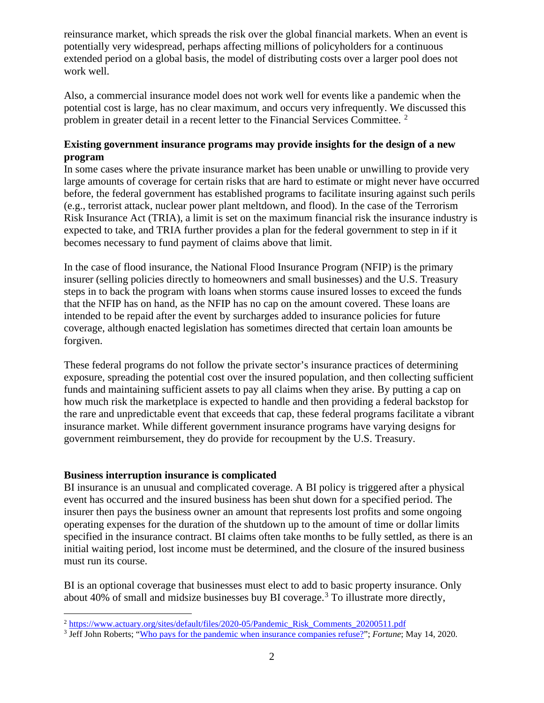reinsurance market, which spreads the risk over the global financial markets. When an event is potentially very widespread, perhaps affecting millions of policyholders for a continuous extended period on a global basis, the model of distributing costs over a larger pool does not work well.

Also, a commercial insurance model does not work well for events like a pandemic when the potential cost is large, has no clear maximum, and occurs very infrequently. We discussed this problem in greater detail in a recent letter to the Financial Services Committee. [2](#page-1-0)

## **Existing government insurance programs may provide insights for the design of a new program**

In some cases where the private insurance market has been unable or unwilling to provide very large amounts of coverage for certain risks that are hard to estimate or might never have occurred before, the federal government has established programs to facilitate insuring against such perils (e.g., terrorist attack, nuclear power plant meltdown, and flood). In the case of the Terrorism Risk Insurance Act (TRIA), a limit is set on the maximum financial risk the insurance industry is expected to take, and TRIA further provides a plan for the federal government to step in if it becomes necessary to fund payment of claims above that limit.

In the case of flood insurance, the National Flood Insurance Program (NFIP) is the primary insurer (selling policies directly to homeowners and small businesses) and the U.S. Treasury steps in to back the program with loans when storms cause insured losses to exceed the funds that the NFIP has on hand, as the NFIP has no cap on the amount covered. These loans are intended to be repaid after the event by surcharges added to insurance policies for future coverage, although enacted legislation has sometimes directed that certain loan amounts be forgiven.

These federal programs do not follow the private sector's insurance practices of determining exposure, spreading the potential cost over the insured population, and then collecting sufficient funds and maintaining sufficient assets to pay all claims when they arise. By putting a cap on how much risk the marketplace is expected to handle and then providing a federal backstop for the rare and unpredictable event that exceeds that cap, these federal programs facilitate a vibrant insurance market. While different government insurance programs have varying designs for government reimbursement, they do provide for recoupment by the U.S. Treasury.

### **Business interruption insurance is complicated**

BI insurance is an unusual and complicated coverage. A BI policy is triggered after a physical event has occurred and the insured business has been shut down for a specified period. The insurer then pays the business owner an amount that represents lost profits and some ongoing operating expenses for the duration of the shutdown up to the amount of time or dollar limits specified in the insurance contract. BI claims often take months to be fully settled, as there is an initial waiting period, lost income must be determined, and the closure of the insured business must run its course.

BI is an optional coverage that businesses must elect to add to basic property insurance. Only about 40% of small and midsize businesses buy BI coverage.[3](#page-1-1) To illustrate more directly,

<span id="page-1-0"></span><sup>&</sup>lt;sup>2</sup> [https://www.actuary.org/sites/default/files/2020-05/Pandemic\\_Risk\\_Comments\\_20200511.pdf](https://www.actuary.org/sites/default/files/2020-05/Pandemic_Risk_Comments_20200511.pdf)

<span id="page-1-1"></span><sup>3</sup> Jeff John Roberts; ["Who pays for the pandemic when insurance companies refuse?"](https://fortune.com/2020/05/14/pandemic-insurance-coronavirus-costs-lawsuits/); *Fortune*; May 14, 2020.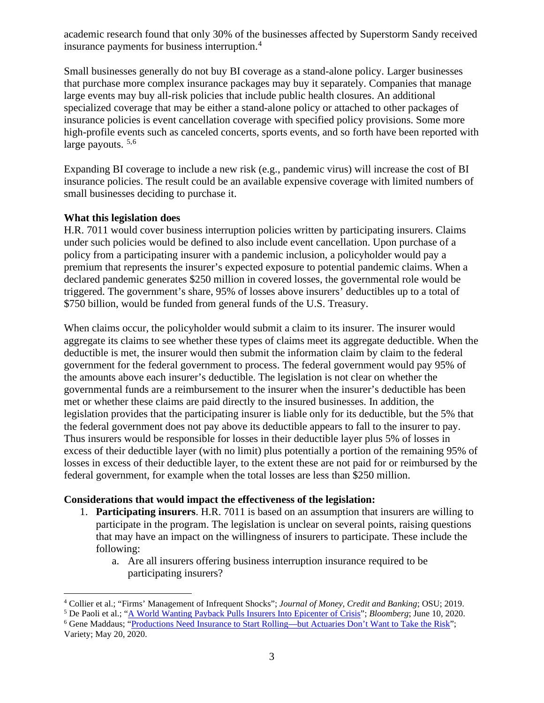academic research found that only 30% of the businesses affected by Superstorm Sandy received insurance payments for business interruption.[4](#page-2-0)

Small businesses generally do not buy BI coverage as a stand-alone policy. Larger businesses that purchase more complex insurance packages may buy it separately. Companies that manage large events may buy all-risk policies that include public health closures. An additional specialized coverage that may be either a stand-alone policy or attached to other packages of insurance policies is event cancellation coverage with specified policy provisions. Some more high-profile events such as canceled concerts, sports events, and so forth have been reported with large payouts.  $5,6$  $5,6$ 

Expanding BI coverage to include a new risk (e.g., pandemic virus) will increase the cost of BI insurance policies. The result could be an available expensive coverage with limited numbers of small businesses deciding to purchase it.

## **What this legislation does**

H.R. 7011 would cover business interruption policies written by participating insurers. Claims under such policies would be defined to also include event cancellation. Upon purchase of a policy from a participating insurer with a pandemic inclusion, a policyholder would pay a premium that represents the insurer's expected exposure to potential pandemic claims. When a declared pandemic generates \$250 million in covered losses, the governmental role would be triggered. The government's share, 95% of losses above insurers' deductibles up to a total of \$750 billion, would be funded from general funds of the U.S. Treasury.

When claims occur, the policyholder would submit a claim to its insurer. The insurer would aggregate its claims to see whether these types of claims meet its aggregate deductible. When the deductible is met, the insurer would then submit the information claim by claim to the federal government for the federal government to process. The federal government would pay 95% of the amounts above each insurer's deductible. The legislation is not clear on whether the governmental funds are a reimbursement to the insurer when the insurer's deductible has been met or whether these claims are paid directly to the insured businesses. In addition, the legislation provides that the participating insurer is liable only for its deductible, but the 5% that the federal government does not pay above its deductible appears to fall to the insurer to pay. Thus insurers would be responsible for losses in their deductible layer plus 5% of losses in excess of their deductible layer (with no limit) plus potentially a portion of the remaining 95% of losses in excess of their deductible layer, to the extent these are not paid for or reimbursed by the federal government, for example when the total losses are less than \$250 million.

# **Considerations that would impact the effectiveness of the legislation:**

- 1. **Participating insurers**. H.R. 7011 is based on an assumption that insurers are willing to participate in the program. The legislation is unclear on several points, raising questions that may have an impact on the willingness of insurers to participate. These include the following:
	- a. Are all insurers offering business interruption insurance required to be participating insurers?

<sup>&</sup>lt;sup>4</sup> Collier et al.; "Firms' Management of Infrequent Shocks"; *Journal of Money, Credit and Banking*; OSU; 2019.<br><sup>5</sup> De Paoli et al.; "A World Wanting Payback Pulls Insurers Into Epicenter of Crisis"; *Bloomberg*; June 10,

<span id="page-2-2"></span><span id="page-2-1"></span><span id="page-2-0"></span>

<sup>&</sup>lt;sup>6</sup> Gene Maddaus; ["Productions Need Insurance to Start Rolling—but Actuaries Don't Want to Take the Risk"](https://variety.com/2020/biz/news/coronavirus-insurance-productions-movies-television-1234611298/);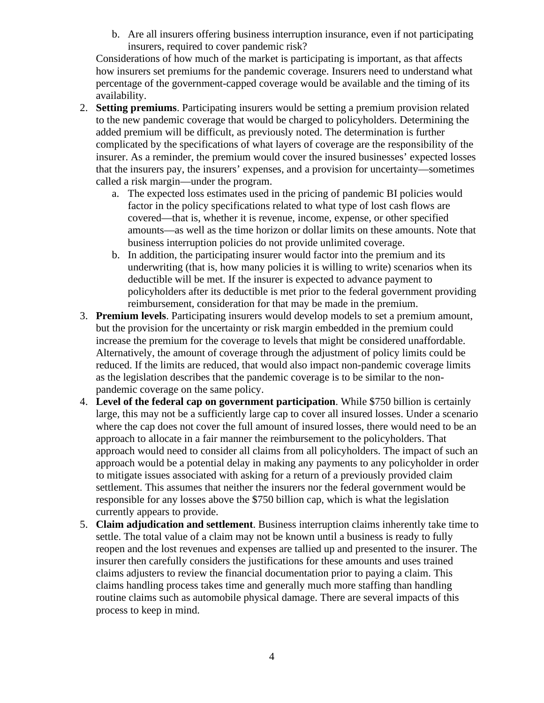b. Are all insurers offering business interruption insurance, even if not participating insurers, required to cover pandemic risk?

Considerations of how much of the market is participating is important, as that affects how insurers set premiums for the pandemic coverage. Insurers need to understand what percentage of the government-capped coverage would be available and the timing of its availability.

- 2. **Setting premiums**. Participating insurers would be setting a premium provision related to the new pandemic coverage that would be charged to policyholders. Determining the added premium will be difficult, as previously noted. The determination is further complicated by the specifications of what layers of coverage are the responsibility of the insurer. As a reminder, the premium would cover the insured businesses' expected losses that the insurers pay, the insurers' expenses, and a provision for uncertainty—sometimes called a risk margin—under the program.
	- a. The expected loss estimates used in the pricing of pandemic BI policies would factor in the policy specifications related to what type of lost cash flows are covered—that is, whether it is revenue, income, expense, or other specified amounts—as well as the time horizon or dollar limits on these amounts. Note that business interruption policies do not provide unlimited coverage.
	- b. In addition, the participating insurer would factor into the premium and its underwriting (that is, how many policies it is willing to write) scenarios when its deductible will be met. If the insurer is expected to advance payment to policyholders after its deductible is met prior to the federal government providing reimbursement, consideration for that may be made in the premium.
- 3. **Premium levels**. Participating insurers would develop models to set a premium amount, but the provision for the uncertainty or risk margin embedded in the premium could increase the premium for the coverage to levels that might be considered unaffordable. Alternatively, the amount of coverage through the adjustment of policy limits could be reduced. If the limits are reduced, that would also impact non-pandemic coverage limits as the legislation describes that the pandemic coverage is to be similar to the nonpandemic coverage on the same policy.
- 4. **Level of the federal cap on government participation**. While \$750 billion is certainly large, this may not be a sufficiently large cap to cover all insured losses. Under a scenario where the cap does not cover the full amount of insured losses, there would need to be an approach to allocate in a fair manner the reimbursement to the policyholders. That approach would need to consider all claims from all policyholders. The impact of such an approach would be a potential delay in making any payments to any policyholder in order to mitigate issues associated with asking for a return of a previously provided claim settlement. This assumes that neither the insurers nor the federal government would be responsible for any losses above the \$750 billion cap, which is what the legislation currently appears to provide.
- 5. **Claim adjudication and settlement**. Business interruption claims inherently take time to settle. The total value of a claim may not be known until a business is ready to fully reopen and the lost revenues and expenses are tallied up and presented to the insurer. The insurer then carefully considers the justifications for these amounts and uses trained claims adjusters to review the financial documentation prior to paying a claim. This claims handling process takes time and generally much more staffing than handling routine claims such as automobile physical damage. There are several impacts of this process to keep in mind.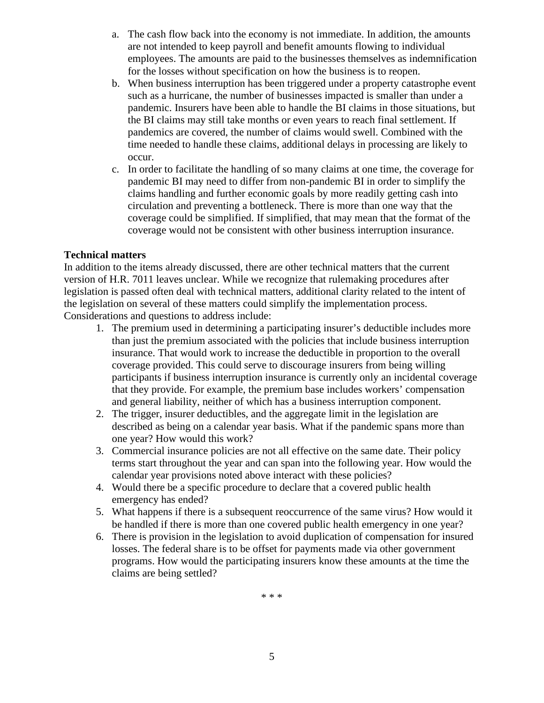- a. The cash flow back into the economy is not immediate. In addition, the amounts are not intended to keep payroll and benefit amounts flowing to individual employees. The amounts are paid to the businesses themselves as indemnification for the losses without specification on how the business is to reopen.
- b. When business interruption has been triggered under a property catastrophe event such as a hurricane, the number of businesses impacted is smaller than under a pandemic. Insurers have been able to handle the BI claims in those situations, but the BI claims may still take months or even years to reach final settlement. If pandemics are covered, the number of claims would swell. Combined with the time needed to handle these claims, additional delays in processing are likely to occur.
- c. In order to facilitate the handling of so many claims at one time, the coverage for pandemic BI may need to differ from non-pandemic BI in order to simplify the claims handling and further economic goals by more readily getting cash into circulation and preventing a bottleneck. There is more than one way that the coverage could be simplified. If simplified, that may mean that the format of the coverage would not be consistent with other business interruption insurance.

#### **Technical matters**

In addition to the items already discussed, there are other technical matters that the current version of H.R. 7011 leaves unclear. While we recognize that rulemaking procedures after legislation is passed often deal with technical matters, additional clarity related to the intent of the legislation on several of these matters could simplify the implementation process. Considerations and questions to address include:

- 1. The premium used in determining a participating insurer's deductible includes more than just the premium associated with the policies that include business interruption insurance. That would work to increase the deductible in proportion to the overall coverage provided. This could serve to discourage insurers from being willing participants if business interruption insurance is currently only an incidental coverage that they provide. For example, the premium base includes workers' compensation and general liability, neither of which has a business interruption component.
- 2. The trigger, insurer deductibles, and the aggregate limit in the legislation are described as being on a calendar year basis. What if the pandemic spans more than one year? How would this work?
- 3. Commercial insurance policies are not all effective on the same date. Their policy terms start throughout the year and can span into the following year. How would the calendar year provisions noted above interact with these policies?
- 4. Would there be a specific procedure to declare that a covered public health emergency has ended?
- 5. What happens if there is a subsequent reoccurrence of the same virus? How would it be handled if there is more than one covered public health emergency in one year?
- 6. There is provision in the legislation to avoid duplication of compensation for insured losses. The federal share is to be offset for payments made via other government programs. How would the participating insurers know these amounts at the time the claims are being settled?

\* \* \*